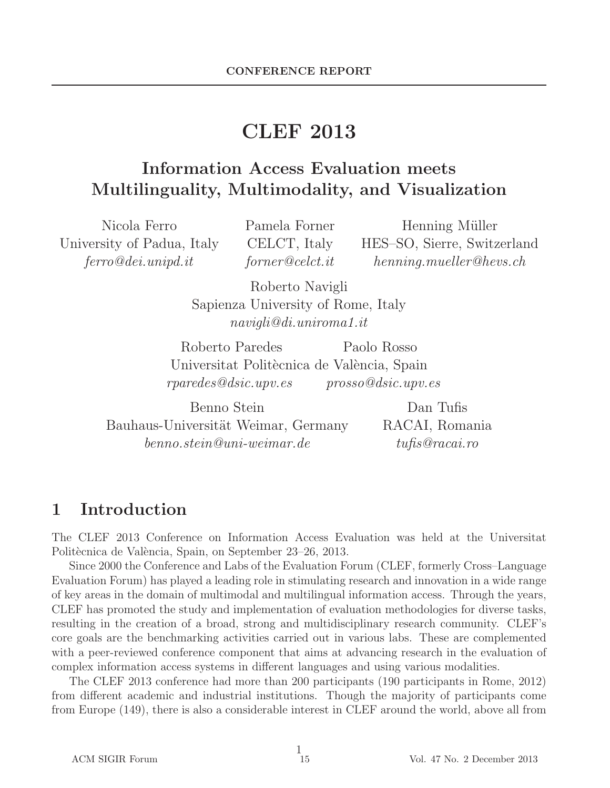# **CLEF 2013**

#### **Information Access Evaluation meets Multilinguality, Multimodality, and Visualization**

Nicola Ferro University of Padua, Italy ferro@dei.unipd.it

Pamela Forner CELCT, Italy forner@celct.it

Henning Müller HES–SO, Sierre, Switzerland henning.mueller@hevs.ch

Roberto Navigli Sapienza University of Rome, Italy navigli@di.uniroma1.it

Roberto Paredes Paolo Rosso Universitat Politècnica de València, Spain rparedes@dsic.upv.es prosso@dsic.upv.es

Benno Stein Bauhaus-Universität Weimar, Germany benno.stein@uni-weimar.de

Dan Tufis RACAI, Romania tufis@racai.ro

#### **1 Introduction**

The CLEF 2013 Conference on Information Access Evaluation was held at the Universitat Politècnica de València, Spain, on September 23–26, 2013.

Since 2000 the Conference and Labs of the Evaluation Forum (CLEF, formerly Cross–Language Evaluation Forum) has played a leading role in stimulating research and innovation in a wide range of key areas in the domain of multimodal and multilingual information access. Through the years, CLEF has promoted the study and implementation of evaluation methodologies for diverse tasks, resulting in the creation of a broad, strong and multidisciplinary research community. CLEF's core goals are the benchmarking activities carried out in various labs. These are complemented with a peer-reviewed conference component that aims at advancing research in the evaluation of complex information access systems in different languages and using various modalities.

The CLEF 2013 conference had more than 200 participants (190 participants in Rome, 2012) from different academic and industrial institutions. Though the majority of participants come from Europe (149), there is also a considerable interest in CLEF around the world, above all from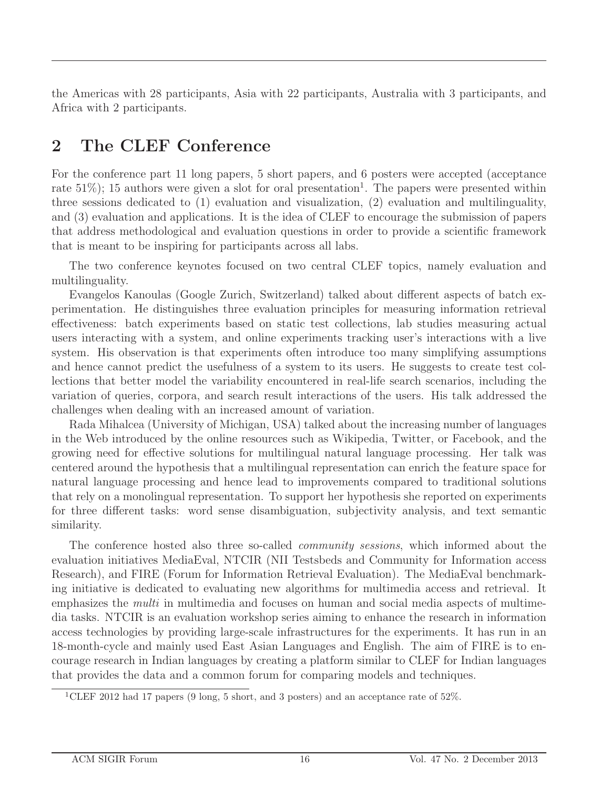the Americas with 28 participants, Asia with 22 participants, Australia with 3 participants, and Africa with 2 participants.

## **2 The CLEF Conference**

For the conference part 11 long papers, 5 short papers, and 6 posters were accepted (acceptance rate  $51\%$ ; 15 authors were given a slot for oral presentation<sup>1</sup>. The papers were presented within three sessions dedicated to (1) evaluation and visualization, (2) evaluation and multilinguality, and (3) evaluation and applications. It is the idea of CLEF to encourage the submission of papers that address methodological and evaluation questions in order to provide a scientific framework that is meant to be inspiring for participants across all labs.

The two conference keynotes focused on two central CLEF topics, namely evaluation and multilinguality.

Evangelos Kanoulas (Google Zurich, Switzerland) talked about different aspects of batch experimentation. He distinguishes three evaluation principles for measuring information retrieval effectiveness: batch experiments based on static test collections, lab studies measuring actual users interacting with a system, and online experiments tracking user's interactions with a live system. His observation is that experiments often introduce too many simplifying assumptions and hence cannot predict the usefulness of a system to its users. He suggests to create test collections that better model the variability encountered in real-life search scenarios, including the variation of queries, corpora, and search result interactions of the users. His talk addressed the challenges when dealing with an increased amount of variation.

Rada Mihalcea (University of Michigan, USA) talked about the increasing number of languages in the Web introduced by the online resources such as Wikipedia, Twitter, or Facebook, and the growing need for effective solutions for multilingual natural language processing. Her talk was centered around the hypothesis that a multilingual representation can enrich the feature space for natural language processing and hence lead to improvements compared to traditional solutions that rely on a monolingual representation. To support her hypothesis she reported on experiments for three different tasks: word sense disambiguation, subjectivity analysis, and text semantic similarity.

The conference hosted also three so-called *community sessions*, which informed about the evaluation initiatives MediaEval, NTCIR (NII Testsbeds and Community for Information access Research), and FIRE (Forum for Information Retrieval Evaluation). The MediaEval benchmarking initiative is dedicated to evaluating new algorithms for multimedia access and retrieval. It emphasizes the multi in multimedia and focuses on human and social media aspects of multimedia tasks. NTCIR is an evaluation workshop series aiming to enhance the research in information access technologies by providing large-scale infrastructures for the experiments. It has run in an 18-month-cycle and mainly used East Asian Languages and English. The aim of FIRE is to encourage research in Indian languages by creating a platform similar to CLEF for Indian languages that provides the data and a common forum for comparing models and techniques.

<sup>&</sup>lt;sup>1</sup>CLEF 2012 had 17 papers (9 long, 5 short, and 3 posters) and an acceptance rate of  $52\%$ .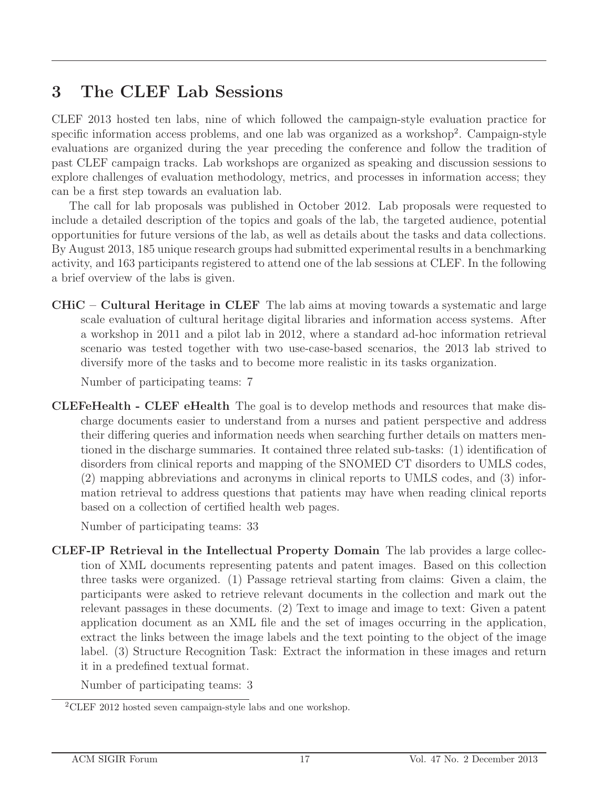### **3 The CLEF Lab Sessions**

CLEF 2013 hosted ten labs, nine of which followed the campaign-style evaluation practice for specific information access problems, and one lab was organized as a workshop<sup>2</sup>. Campaign-style evaluations are organized during the year preceding the conference and follow the tradition of past CLEF campaign tracks. Lab workshops are organized as speaking and discussion sessions to explore challenges of evaluation methodology, metrics, and processes in information access; they can be a first step towards an evaluation lab.

The call for lab proposals was published in October 2012. Lab proposals were requested to include a detailed description of the topics and goals of the lab, the targeted audience, potential opportunities for future versions of the lab, as well as details about the tasks and data collections. By August 2013, 185 unique research groups had submitted experimental results in a benchmarking activity, and 163 participants registered to attend one of the lab sessions at CLEF. In the following a brief overview of the labs is given.

**CHiC – Cultural Heritage in CLEF** The lab aims at moving towards a systematic and large scale evaluation of cultural heritage digital libraries and information access systems. After a workshop in 2011 and a pilot lab in 2012, where a standard ad-hoc information retrieval scenario was tested together with two use-case-based scenarios, the 2013 lab strived to diversify more of the tasks and to become more realistic in its tasks organization.

Number of participating teams: 7

**CLEFeHealth - CLEF eHealth** The goal is to develop methods and resources that make discharge documents easier to understand from a nurses and patient perspective and address their differing queries and information needs when searching further details on matters mentioned in the discharge summaries. It contained three related sub-tasks: (1) identification of disorders from clinical reports and mapping of the SNOMED CT disorders to UMLS codes, (2) mapping abbreviations and acronyms in clinical reports to UMLS codes, and (3) information retrieval to address questions that patients may have when reading clinical reports based on a collection of certified health web pages.

Number of participating teams: 33

**CLEF-IP Retrieval in the Intellectual Property Domain** The lab provides a large collection of XML documents representing patents and patent images. Based on this collection three tasks were organized. (1) Passage retrieval starting from claims: Given a claim, the participants were asked to retrieve relevant documents in the collection and mark out the relevant passages in these documents. (2) Text to image and image to text: Given a patent application document as an XML file and the set of images occurring in the application, extract the links between the image labels and the text pointing to the object of the image label. (3) Structure Recognition Task: Extract the information in these images and return it in a predefined textual format.

Number of participating teams: 3

 ${}^{2}$ CLEF 2012 hosted seven campaign-style labs and one workshop.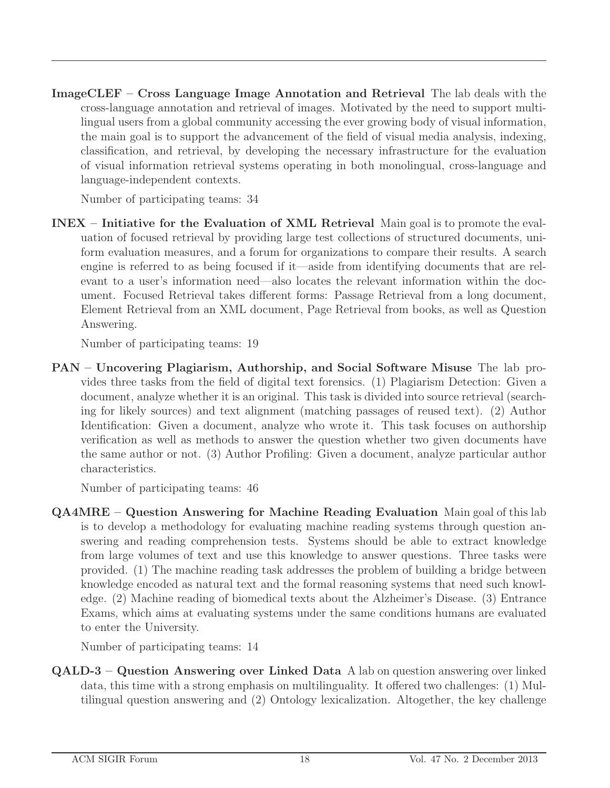**ImageCLEF – Cross Language Image Annotation and Retrieval** The lab deals with the cross-language annotation and retrieval of images. Motivated by the need to support multilingual users from a global community accessing the ever growing body of visual information, the main goal is to support the advancement of the field of visual media analysis, indexing, classification, and retrieval, by developing the necessary infrastructure for the evaluation of visual information retrieval systems operating in both monolingual, cross-language and language-independent contexts.

Number of participating teams: 34

**INEX – Initiative for the Evaluation of XML Retrieval** Main goal is to promote the evaluation of focused retrieval by providing large test collections of structured documents, uniform evaluation measures, and a forum for organizations to compare their results. A search engine is referred to as being focused if it—aside from identifying documents that are relevant to a user's information need—also locates the relevant information within the document. Focused Retrieval takes different forms: Passage Retrieval from a long document, Element Retrieval from an XML document, Page Retrieval from books, as well as Question Answering.

Number of participating teams: 19

**PAN – Uncovering Plagiarism, Authorship, and Social Software Misuse** The lab provides three tasks from the field of digital text forensics. (1) Plagiarism Detection: Given a document, analyze whether it is an original. This task is divided into source retrieval (searching for likely sources) and text alignment (matching passages of reused text). (2) Author Identification: Given a document, analyze who wrote it. This task focuses on authorship verification as well as methods to answer the question whether two given documents have the same author or not. (3) Author Profiling: Given a document, analyze particular author characteristics.

Number of participating teams: 46

**QA4MRE – Question Answering for Machine Reading Evaluation** Main goal of this lab is to develop a methodology for evaluating machine reading systems through question answering and reading comprehension tests. Systems should be able to extract knowledge from large volumes of text and use this knowledge to answer questions. Three tasks were provided. (1) The machine reading task addresses the problem of building a bridge between knowledge encoded as natural text and the formal reasoning systems that need such knowledge. (2) Machine reading of biomedical texts about the Alzheimer's Disease. (3) Entrance Exams, which aims at evaluating systems under the same conditions humans are evaluated to enter the University.

Number of participating teams: 14

**QALD-3 – Question Answering over Linked Data** A lab on question answering over linked data, this time with a strong emphasis on multilinguality. It offered two challenges: (1) Multilingual question answering and (2) Ontology lexicalization. Altogether, the key challenge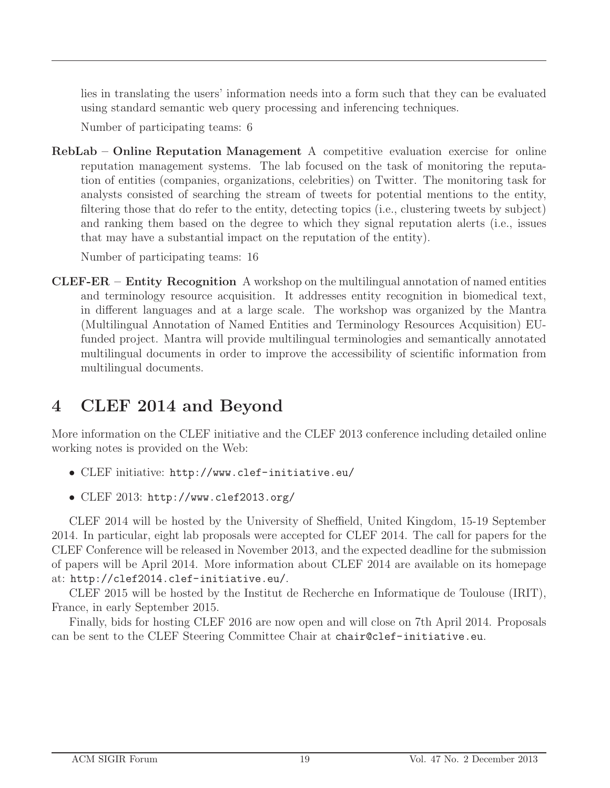lies in translating the users' information needs into a form such that they can be evaluated using standard semantic web query processing and inferencing techniques.

Number of participating teams: 6

**RebLab – Online Reputation Management** A competitive evaluation exercise for online reputation management systems. The lab focused on the task of monitoring the reputation of entities (companies, organizations, celebrities) on Twitter. The monitoring task for analysts consisted of searching the stream of tweets for potential mentions to the entity, filtering those that do refer to the entity, detecting topics (i.e., clustering tweets by subject) and ranking them based on the degree to which they signal reputation alerts (i.e., issues that may have a substantial impact on the reputation of the entity).

Number of participating teams: 16

**CLEF-ER – Entity Recognition** A workshop on the multilingual annotation of named entities and terminology resource acquisition. It addresses entity recognition in biomedical text, in different languages and at a large scale. The workshop was organized by the Mantra (Multilingual Annotation of Named Entities and Terminology Resources Acquisition) EUfunded project. Mantra will provide multilingual terminologies and semantically annotated multilingual documents in order to improve the accessibility of scientific information from multilingual documents.

## **4 CLEF 2014 and Beyond**

More information on the CLEF initiative and the CLEF 2013 conference including detailed online working notes is provided on the Web:

- CLEF initiative: http://www.clef-initiative.eu/
- CLEF 2013: http://www.clef2013.org/

CLEF 2014 will be hosted by the University of Sheffield, United Kingdom, 15-19 September 2014. In particular, eight lab proposals were accepted for CLEF 2014. The call for papers for the CLEF Conference will be released in November 2013, and the expected deadline for the submission of papers will be April 2014. More information about CLEF 2014 are available on its homepage at: http://clef2014.clef-initiative.eu/.

CLEF 2015 will be hosted by the Institut de Recherche en Informatique de Toulouse (IRIT), France, in early September 2015.

Finally, bids for hosting CLEF 2016 are now open and will close on 7th April 2014. Proposals can be sent to the CLEF Steering Committee Chair at chair@clef-initiative.eu.